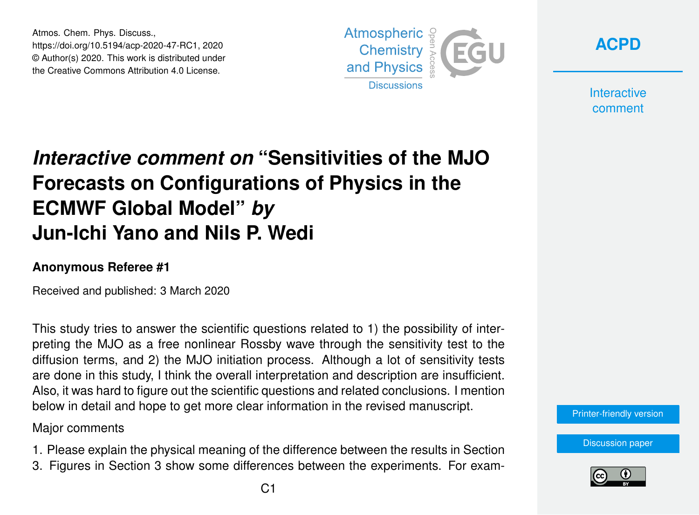Atmos. Chem. Phys. Discuss., https://doi.org/10.5194/acp-2020-47-RC1, 2020 © Author(s) 2020. This work is distributed under the Creative Commons Attribution 4.0 License.



**[ACPD](https://www.atmos-chem-phys-discuss.net/)**

**Interactive** comment

## *Interactive comment on* **"Sensitivities of the MJO Forecasts on Configurations of Physics in the ECMWF Global Model"** *by* **Jun-Ichi Yano and Nils P. Wedi**

## **Anonymous Referee #1**

Received and published: 3 March 2020

This study tries to answer the scientific questions related to 1) the possibility of interpreting the MJO as a free nonlinear Rossby wave through the sensitivity test to the diffusion terms, and 2) the MJO initiation process. Although a lot of sensitivity tests are done in this study, I think the overall interpretation and description are insufficient. Also, it was hard to figure out the scientific questions and related conclusions. I mention below in detail and hope to get more clear information in the revised manuscript.

Major comments

- 1. Please explain the physical meaning of the difference between the results in Section
- 3. Figures in Section 3 show some differences between the experiments. For exam-



[Discussion paper](https://www.atmos-chem-phys-discuss.net/acp-2020-47)

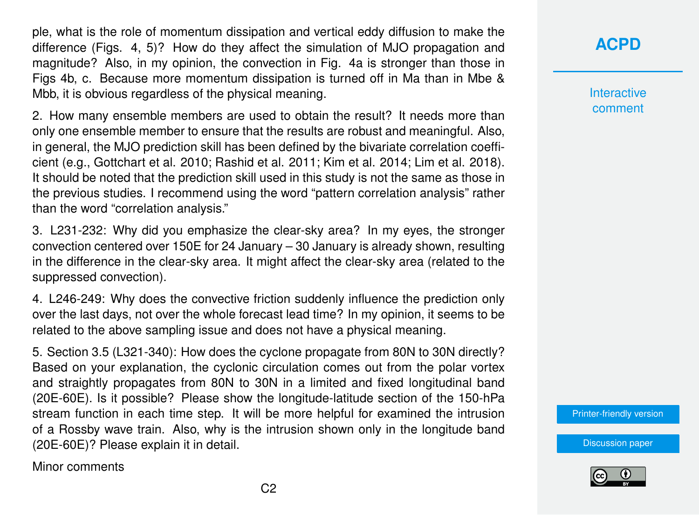ple, what is the role of momentum dissipation and vertical eddy diffusion to make the difference (Figs. 4, 5)? How do they affect the simulation of MJO propagation and magnitude? Also, in my opinion, the convection in Fig. 4a is stronger than those in Figs 4b, c. Because more momentum dissipation is turned off in Ma than in Mbe & Mbb, it is obvious regardless of the physical meaning.

2. How many ensemble members are used to obtain the result? It needs more than only one ensemble member to ensure that the results are robust and meaningful. Also, in general, the MJO prediction skill has been defined by the bivariate correlation coefficient (e.g., Gottchart et al. 2010; Rashid et al. 2011; Kim et al. 2014; Lim et al. 2018). It should be noted that the prediction skill used in this study is not the same as those in the previous studies. I recommend using the word "pattern correlation analysis" rather than the word "correlation analysis."

3. L231-232: Why did you emphasize the clear-sky area? In my eyes, the stronger convection centered over 150E for 24 January – 30 January is already shown, resulting in the difference in the clear-sky area. It might affect the clear-sky area (related to the suppressed convection).

4. L246-249: Why does the convective friction suddenly influence the prediction only over the last days, not over the whole forecast lead time? In my opinion, it seems to be related to the above sampling issue and does not have a physical meaning.

5. Section 3.5 (L321-340): How does the cyclone propagate from 80N to 30N directly? Based on your explanation, the cyclonic circulation comes out from the polar vortex and straightly propagates from 80N to 30N in a limited and fixed longitudinal band (20E-60E). Is it possible? Please show the longitude-latitude section of the 150-hPa stream function in each time step. It will be more helpful for examined the intrusion of a Rossby wave train. Also, why is the intrusion shown only in the longitude band (20E-60E)? Please explain it in detail.

Minor comments

## **[ACPD](https://www.atmos-chem-phys-discuss.net/)**

**Interactive** comment

[Printer-friendly version](https://www.atmos-chem-phys-discuss.net/acp-2020-47/acp-2020-47-RC1-print.pdf)

[Discussion paper](https://www.atmos-chem-phys-discuss.net/acp-2020-47)